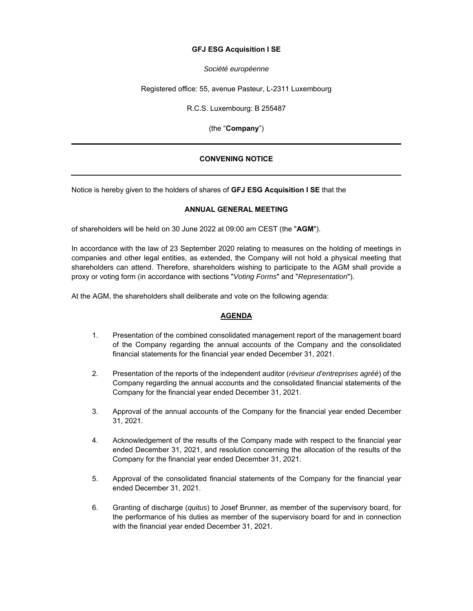### **GFJ ESG Acquisition I SE**

#### *Société européenne*

Registered office: 55, avenue Pasteur, L-2311 Luxembourg

R.C.S. Luxembourg: B 255487

(the "**Company**")

# **CONVENING NOTICE**

Notice is hereby given to the holders of shares of **GFJ ESG Acquisition I SE** that the

### **ANNUAL GENERAL MEETING**

of shareholders will be held on 30 June 2022 at 09:00 am CEST (the "**AGM**").

In accordance with the law of 23 September 2020 relating to measures on the holding of meetings in companies and other legal entities, as extended, the Company will not hold a physical meeting that shareholders can attend. Therefore, shareholders wishing to participate to the AGM shall provide a proxy or voting form (in accordance with sections "*Voting Forms*" and "*Representation*").

At the AGM, the shareholders shall deliberate and vote on the following agenda:

## **AGENDA**

- 1. Presentation of the combined consolidated management report of the management board of the Company regarding the annual accounts of the Company and the consolidated financial statements for the financial year ended December 31, 2021.
- 2. Presentation of the reports of the independent auditor (*réviseur d'entreprises agréé*) of the Company regarding the annual accounts and the consolidated financial statements of the Company for the financial year ended December 31, 2021.
- 3. Approval of the annual accounts of the Company for the financial year ended December 31, 2021.
- 4. Acknowledgement of the results of the Company made with respect to the financial year ended December 31, 2021, and resolution concerning the allocation of the results of the Company for the financial year ended December 31, 2021.
- 5. Approval of the consolidated financial statements of the Company for the financial year ended December 31, 2021.
- 6. Granting of discharge (*quitus*) to Josef Brunner, as member of the supervisory board, for the performance of his duties as member of the supervisory board for and in connection with the financial year ended December 31, 2021.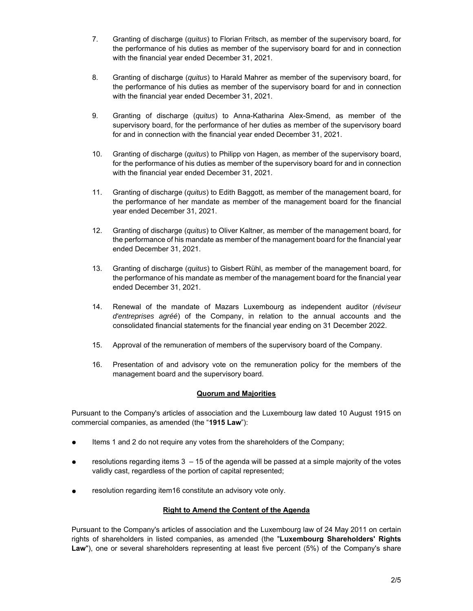- 7. Granting of discharge (*quitus*) to Florian Fritsch, as member of the supervisory board, for the performance of his duties as member of the supervisory board for and in connection with the financial year ended December 31, 2021.
- 8. Granting of discharge (*quitus*) to Harald Mahrer as member of the supervisory board, for the performance of his duties as member of the supervisory board for and in connection with the financial year ended December 31, 2021.
- 9. Granting of discharge (*quitus*) to Anna-Katharina Alex-Smend, as member of the supervisory board, for the performance of her duties as member of the supervisory board for and in connection with the financial year ended December 31, 2021.
- 10. Granting of discharge (*quitus*) to Philipp von Hagen, as member of the supervisory board, for the performance of his duties as member of the supervisory board for and in connection with the financial year ended December 31, 2021.
- 11. Granting of discharge (*quitus*) to Edith Baggott, as member of the management board, for the performance of her mandate as member of the management board for the financial year ended December 31, 2021.
- 12. Granting of discharge (*quitus*) to Oliver Kaltner, as member of the management board, for the performance of his mandate as member of the management board for the financial year ended December 31, 2021.
- 13. Granting of discharge (*quitus*) to Gisbert Rühl, as member of the management board, for the performance of his mandate as member of the management board for the financial year ended December 31, 2021.
- 14. Renewal of the mandate of Mazars Luxembourg as independent auditor (*réviseur d'entreprises agréé*) of the Company, in relation to the annual accounts and the consolidated financial statements for the financial year ending on 31 December 2022.
- 15. Approval of the remuneration of members of the supervisory board of the Company.
- 16. Presentation of and advisory vote on the remuneration policy for the members of the management board and the supervisory board.

## **Quorum and Majorities**

Pursuant to the Company's articles of association and the Luxembourg law dated 10 August 1915 on commercial companies, as amended (the "**1915 Law**"):

- Items 1 and 2 do not require any votes from the shareholders of the Company;
- resolutions regarding items  $3 15$  of the agenda will be passed at a simple majority of the votes validly cast, regardless of the portion of capital represented;
- resolution regarding item16 constitute an advisory vote only.

## **Right to Amend the Content of the Agenda**

Pursuant to the Company's articles of association and the Luxembourg law of 24 May 2011 on certain rights of shareholders in listed companies, as amended (the "**Luxembourg Shareholders' Rights**  Law"), one or several shareholders representing at least five percent (5%) of the Company's share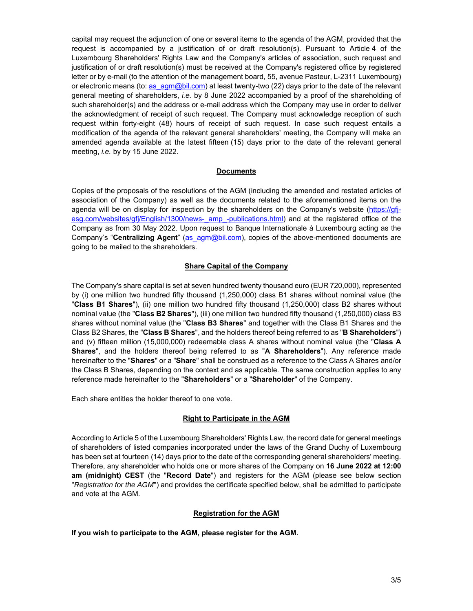capital may request the adjunction of one or several items to the agenda of the AGM, provided that the request is accompanied by a justification of or draft resolution(s). Pursuant to Article 4 of the Luxembourg Shareholders' Rights Law and the Company's articles of association, such request and justification of or draft resolution(s) must be received at the Company's registered office by registered letter or by e-mail (to the attention of the management board, 55, avenue Pasteur, L-2311 Luxembourg) or electronic means (to: as  $\alpha$ gm@bil.com) at least twenty-two (22) days prior to the date of the relevant general meeting of shareholders, *i.e.* by 8 June 2022 accompanied by a proof of the shareholding of such shareholder(s) and the address or e-mail address which the Company may use in order to deliver the acknowledgment of receipt of such request. The Company must acknowledge reception of such request within forty-eight (48) hours of receipt of such request. In case such request entails a modification of the agenda of the relevant general shareholders' meeting, the Company will make an amended agenda available at the latest fifteen (15) days prior to the date of the relevant general meeting, *i.e.* by by 15 June 2022.

## **Documents**

Copies of the proposals of the resolutions of the AGM (including the amended and restated articles of association of the Company) as well as the documents related to the aforementioned items on the agenda will be on display for inspection by the shareholders on the Company's website (https://gfjesg.com/websites/gfj/English/1300/news- amp -publications.html) and at the registered office of the Company as from 30 May 2022. Upon request to Banque Internationale à Luxembourg acting as the Company's "Centralizing Agent" (as agm@bil.com), copies of the above-mentioned documents are going to be mailed to the shareholders.

### **Share Capital of the Company**

The Company's share capital is set at seven hundred twenty thousand euro (EUR 720,000), represented by (i) one million two hundred fifty thousand (1,250,000) class B1 shares without nominal value (the "**Class B1 Shares**"), (ii) one million two hundred fifty thousand (1,250,000) class B2 shares without nominal value (the "**Class B2 Shares**"), (iii) one million two hundred fifty thousand (1,250,000) class B3 shares without nominal value (the "**Class B3 Shares**" and together with the Class B1 Shares and the Class B2 Shares, the "**Class B Shares**", and the holders thereof being referred to as "**B Shareholders**") and (v) fifteen million (15,000,000) redeemable class A shares without nominal value (the "**Class A Shares**", and the holders thereof being referred to as "**A Shareholders**"). Any reference made hereinafter to the "**Shares**" or a "**Share**" shall be construed as a reference to the Class A Shares and/or the Class B Shares, depending on the context and as applicable. The same construction applies to any reference made hereinafter to the "**Shareholders**" or a "**Shareholder**" of the Company.

Each share entitles the holder thereof to one vote.

## **Right to Participate in the AGM**

According to Article 5 of the Luxembourg Shareholders' Rights Law, the record date for general meetings of shareholders of listed companies incorporated under the laws of the Grand Duchy of Luxembourg has been set at fourteen (14) days prior to the date of the corresponding general shareholders' meeting. Therefore, any shareholder who holds one or more shares of the Company on **16 June 2022 at 12:00 am (midnight) CEST** (the "**Record Date**") and registers for the AGM (please see below section "*Registration for the AGM*") and provides the certificate specified below, shall be admitted to participate and vote at the AGM.

#### **Registration for the AGM**

**If you wish to participate to the AGM, please register for the AGM.**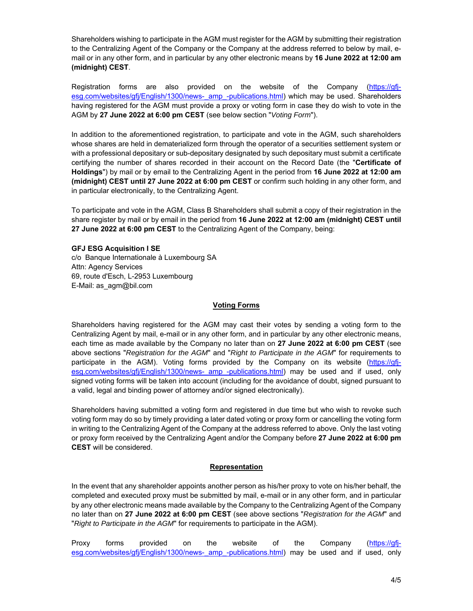Shareholders wishing to participate in the AGM must register for the AGM by submitting their registration to the Centralizing Agent of the Company or the Company at the address referred to below by mail, email or in any other form, and in particular by any other electronic means by **16 June 2022 at 12:00 am (midnight) CEST**.

Registration forms are also provided on the website of the Company (https://gfjesg.com/websites/gfj/English/1300/news-\_amp\_-publications.html) which may be used. Shareholders having registered for the AGM must provide a proxy or voting form in case they do wish to vote in the AGM by **27 June 2022 at 6:00 pm CEST** (see below section "*Voting Form*").

In addition to the aforementioned registration, to participate and vote in the AGM, such shareholders whose shares are held in dematerialized form through the operator of a securities settlement system or with a professional depositary or sub-depositary designated by such depositary must submit a certificate certifying the number of shares recorded in their account on the Record Date (the "**Certificate of Holdings**") by mail or by email to the Centralizing Agent in the period from **16 June 2022 at 12:00 am (midnight) CEST until 27 June 2022 at 6:00 pm CEST** or confirm such holding in any other form, and in particular electronically, to the Centralizing Agent.

To participate and vote in the AGM, Class B Shareholders shall submit a copy of their registration in the share register by mail or by email in the period from **16 June 2022 at 12:00 am (midnight) CEST until 27 June 2022 at 6:00 pm CEST** to the Centralizing Agent of the Company, being:

## **GFJ ESG Acquisition I SE**

c/o Banque Internationale à Luxembourg SA Attn: Agency Services 69, route d'Esch, L-2953 Luxembourg E-Mail: as\_agm@bil.com

# **Voting Forms**

Shareholders having registered for the AGM may cast their votes by sending a voting form to the Centralizing Agent by mail, e-mail or in any other form, and in particular by any other electronic means, each time as made available by the Company no later than on **27 June 2022 at 6:00 pm CEST** (see above sections "*Registration for the AGM*" and "*Right to Participate in the AGM*" for requirements to participate in the AGM). Voting forms provided by the Company on its website (https://gfjesg.com/websites/gfj/English/1300/news- amp -publications.html) may be used and if used, only signed voting forms will be taken into account (including for the avoidance of doubt, signed pursuant to a valid, legal and binding power of attorney and/or signed electronically).

Shareholders having submitted a voting form and registered in due time but who wish to revoke such voting form may do so by timely providing a later dated voting or proxy form or cancelling the voting form in writing to the Centralizing Agent of the Company at the address referred to above. Only the last voting or proxy form received by the Centralizing Agent and/or the Company before **27 June 2022 at 6:00 pm CEST** will be considered.

## **Representation**

In the event that any shareholder appoints another person as his/her proxy to vote on his/her behalf, the completed and executed proxy must be submitted by mail, e-mail or in any other form, and in particular by any other electronic means made available by the Company to the Centralizing Agent of the Company no later than on **27 June 2022 at 6:00 pm CEST** (see above sections "*Registration for the AGM*" and "*Right to Participate in the AGM*" for requirements to participate in the AGM).

Proxy forms provided on the website of the Company (https://gfjesg.com/websites/gfj/English/1300/news-\_amp\_-publications.html) may be used and if used, only